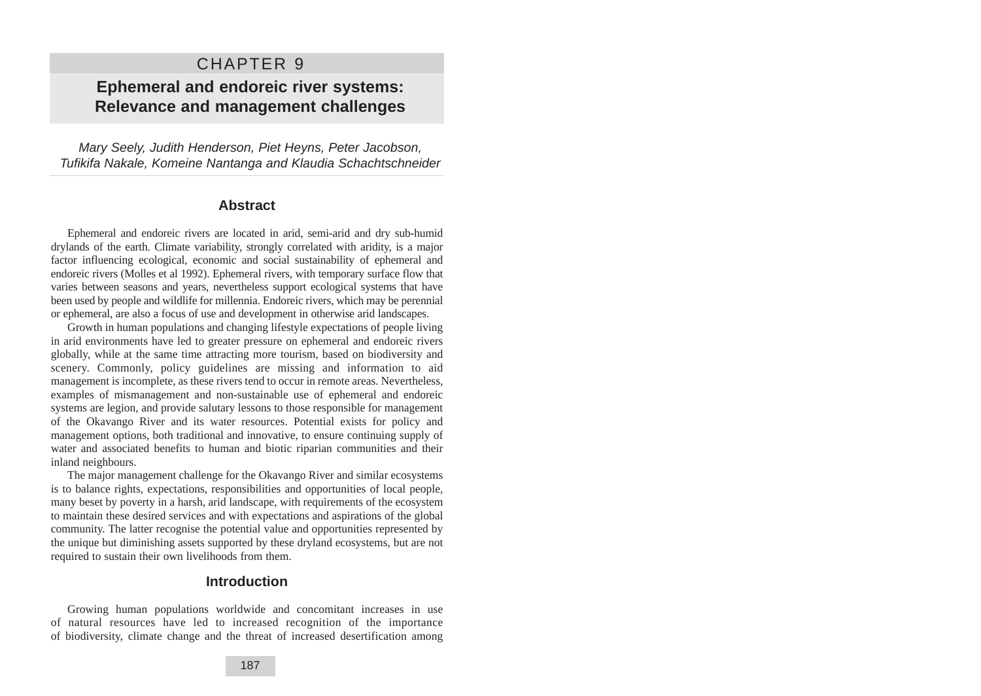# CHAPTER 9

# **Ephemeral and endoreic river systems: Relevance and management challenges**

Mary Seely, Judith Henderson, Piet Heyns, Peter Jacobson, Tufikifa Nakale, Komeine Nantanga and Klaudia Schachtschneider

### **Abstract**

Ephemeral and endoreic rivers are located in arid, semi-arid and dry sub-humid drylands of the earth. Climate variability, strongly correlated with aridity, is a major factor influencing ecological, economic and social sustainability of ephemeral and endoreic rivers (Molles et al 1992). Ephemeral rivers, with temporary surface flow that varies between seasons and years, nevertheless support ecological systems that have been used by people and wildlife for millennia. Endoreic rivers, which may be perennial or ephemeral, are also a focus of use and development in otherwise arid landscapes.

Growth in human populations and changing lifestyle expectations of people living in arid environments have led to greater pressure on ephemeral and endoreic rivers globally, while at the same time attracting more tourism, based on biodiversity and scenery. Commonly, policy guidelines are missing and information to aid management is incomplete, as these rivers tend to occur in remote areas. Nevertheless, examples of mismanagement and non-sustainable use of ephemeral and endoreic systems are legion, and provide salutary lessons to those responsible for management of the Okavango River and its water resources. Potential exists for policy and management options, both traditional and innovative, to ensure continuing supply of water and associated benefits to human and biotic riparian communities and their inland neighbours.

The major management challenge for the Okavango River and similar ecosystems is to balance rights, expectations, responsibilities and opportunities of local people, many beset by poverty in a harsh, arid landscape, with requirements of the ecosystem to maintain these desired services and with expectations and aspirations of the global community. The latter recognise the potential value and opportunities represented by the unique but diminishing assets supported by these dryland ecosystems, but are not required to sustain their own livelihoods from them.

## **Introduction**

Growing human populations worldwide and concomitant increases in use of natural resources have led to increased recognition of the importance of biodiversity, climate change and the threat of increased desertification among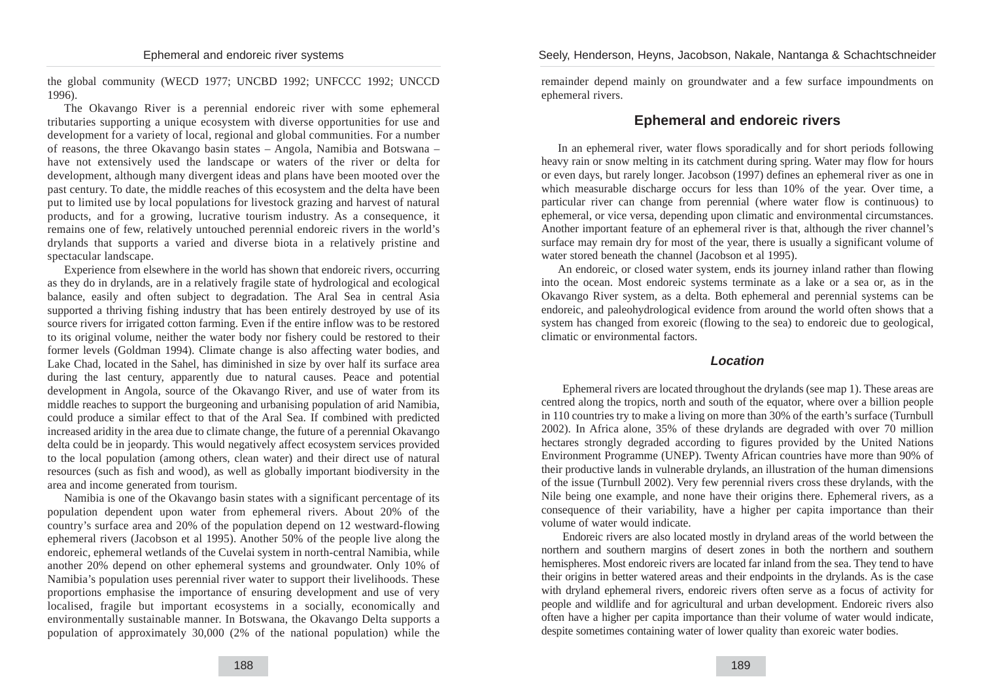the global community (WECD 1977; UNCBD 1992; UNFCCC 1992; UNCCD 1996).

The Okavango River is a perennial endoreic river with some ephemeral tributaries supporting a unique ecosystem with diverse opportunities for use and development for a variety of local, regional and global communities. For a number of reasons, the three Okavango basin states – Angola, Namibia and Botswana – have not extensively used the landscape or waters of the river or delta for development, although many divergent ideas and plans have been mooted over the past century. To date, the middle reaches of this ecosystem and the delta have been put to limited use by local populations for livestock grazing and harvest of natural products, and for a growing, lucrative tourism industry. As a consequence, it remains one of few, relatively untouched perennial endoreic rivers in the world's drylands that supports a varied and diverse biota in a relatively pristine and spectacular landscape.

Experience from elsewhere in the world has shown that endoreic rivers, occurring as they do in drylands, are in a relatively fragile state of hydrological and ecological balance, easily and often subject to degradation. The Aral Sea in central Asia supported a thriving fishing industry that has been entirely destroyed by use of its source rivers for irrigated cotton farming. Even if the entire inflow was to be restored to its original volume, neither the water body nor fishery could be restored to their former levels (Goldman 1994). Climate change is also affecting water bodies, and Lake Chad, located in the Sahel, has diminished in size by over half its surface area during the last century, apparently due to natural causes. Peace and potential development in Angola, source of the Okavango River, and use of water from its middle reaches to support the burgeoning and urbanising population of arid Namibia, could produce a similar effect to that of the Aral Sea. If combined with predicted increased aridity in the area due to climate change, the future of a perennial Okavango delta could be in jeopardy. This would negatively affect ecosystem services provided to the local population (among others, clean water) and their direct use of natural resources (such as fish and wood), as well as globally important biodiversity in the area and income generated from tourism.

Namibia is one of the Okavango basin states with a significant percentage of its population dependent upon water from ephemeral rivers. About 20% of the country's surface area and 20% of the population depend on 12 westward-flowing ephemeral rivers (Jacobson et al 1995). Another 50% of the people live along the endoreic, ephemeral wetlands of the Cuvelai system in north-central Namibia, while another 20% depend on other ephemeral systems and groundwater. Only 10% of Namibia's population uses perennial river water to support their livelihoods. These proportions emphasise the importance of ensuring development and use of very localised, fragile but important ecosystems in a socially, economically and environmentally sustainable manner. In Botswana, the Okavango Delta supports a population of approximately 30,000 (2% of the national population) while the remainder depend mainly on groundwater and a few surface impoundments on ephemeral rivers.

# **Ephemeral and endoreic rivers**

In an ephemeral river, water flows sporadically and for short periods following heavy rain or snow melting in its catchment during spring. Water may flow for hours or even days, but rarely longer. Jacobson (1997) defines an ephemeral river as one in which measurable discharge occurs for less than 10% of the year. Over time, a particular river can change from perennial (where water flow is continuous) to ephemeral, or vice versa, depending upon climatic and environmental circumstances. Another important feature of an ephemeral river is that, although the river channel's surface may remain dry for most of the year, there is usually a significant volume of water stored beneath the channel (Jacobson et al 1995).

An endoreic, or closed water system, ends its journey inland rather than flowing into the ocean. Most endoreic systems terminate as a lake or a sea or, as in the Okavango River system, as a delta. Both ephemeral and perennial systems can be endoreic, and paleohydrological evidence from around the world often shows that a system has changed from exoreic (flowing to the sea) to endoreic due to geological, climatic or environmental factors.

### **Location**

Ephemeral rivers are located throughout the drylands (see map 1). These areas are centred along the tropics, north and south of the equator, where over a billion people in 110 countries try to make a living on more than 30% of the earth's surface (Turnbull 2002). In Africa alone, 35% of these drylands are degraded with over 70 million hectares strongly degraded according to figures provided by the United Nations Environment Programme (UNEP). Twenty African countries have more than 90% of their productive lands in vulnerable drylands, an illustration of the human dimensions of the issue (Turnbull 2002). Very few perennial rivers cross these drylands, with the Nile being one example, and none have their origins there. Ephemeral rivers, as a consequence of their variability, have a higher per capita importance than their volume of water would indicate.

Endoreic rivers are also located mostly in dryland areas of the world between the northern and southern margins of desert zones in both the northern and southern hemispheres. Most endoreic rivers are located far inland from the sea. They tend to have their origins in better watered areas and their endpoints in the drylands. As is the case with dryland ephemeral rivers, endoreic rivers often serve as a focus of activity for people and wildlife and for agricultural and urban development. Endoreic rivers also often have a higher per capita importance than their volume of water would indicate, despite sometimes containing water of lower quality than exoreic water bodies.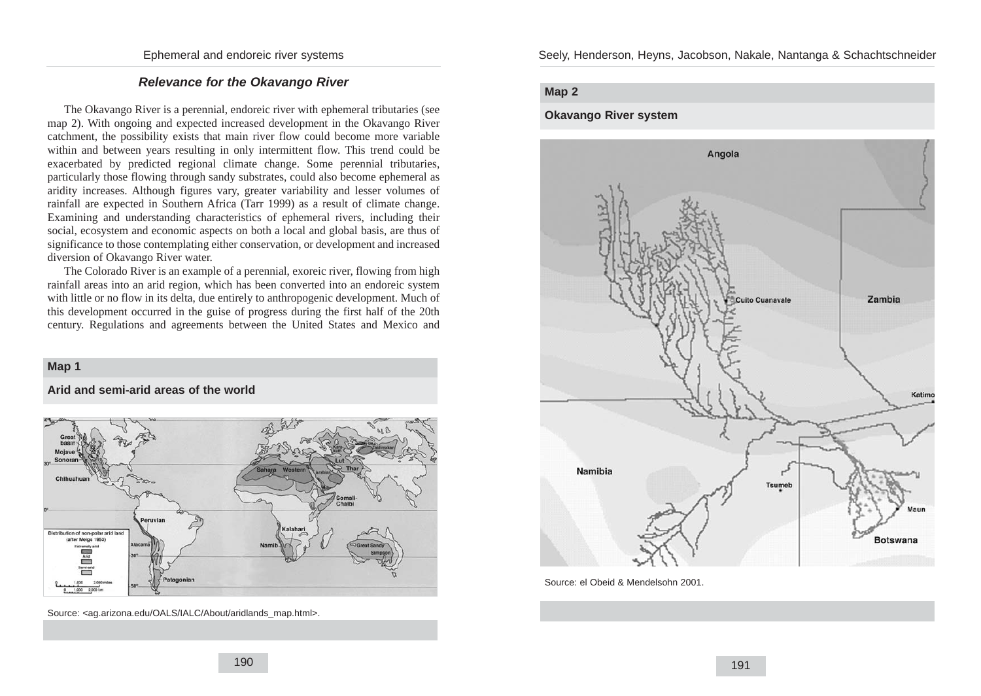# **Relevance for the Okavango River**

The Okavango River is a perennial, endoreic river with ephemeral tributaries (see map 2). With ongoing and expected increased development in the Okavango River catchment, the possibility exists that main river flow could become more variable within and between years resulting in only intermittent flow. This trend could be exacerbated by predicted regional climate change. Some perennial tributaries, particularly those flowing through sandy substrates, could also become ephemeral as aridity increases. Although figures vary, greater variability and lesser volumes of rainfall are expected in Southern Africa (Tarr 1999) as a result of climate change. Examining and understanding characteristics of ephemeral rivers, including their social, ecosystem and economic aspects on both a local and global basis, are thus of significance to those contemplating either conservation, or development and increased diversion of Okavango River water.

The Colorado River is an example of a perennial, exoreic river, flowing from high rainfall areas into an arid region, which has been converted into an endoreic system with little or no flow in its delta, due entirely to anthropogenic development. Much of this development occurred in the guise of progress during the first half of the 20th century. Regulations and agreements between the United States and Mexico and

# **Map 1**

**Arid and semi-arid areas of the world**



Source: <ag.arizona.edu/OALS/IALC/About/aridlands\_map.html>.

Seely, Henderson, Heyns, Jacobson, Nakale, Nantanga & Schachtschneider

# **Map 2**

### **Okavango River system**



Source: el Obeid & Mendelsohn 2001.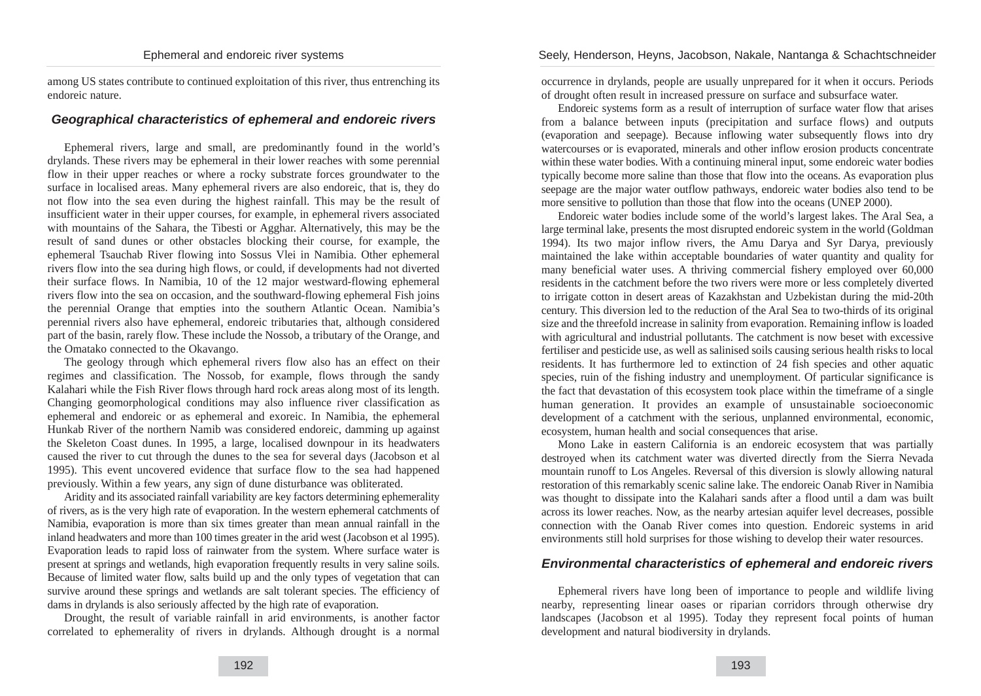among US states contribute to continued exploitation of this river, thus entrenching its endoreic nature.

## **Geographical characteristics of ephemeral and endoreic rivers**

Ephemeral rivers, large and small, are predominantly found in the world's drylands. These rivers may be ephemeral in their lower reaches with some perennial flow in their upper reaches or where a rocky substrate forces groundwater to the surface in localised areas. Many ephemeral rivers are also endoreic, that is, they do not flow into the sea even during the highest rainfall. This may be the result of insufficient water in their upper courses, for example, in ephemeral rivers associated with mountains of the Sahara, the Tibesti or Agghar. Alternatively, this may be the result of sand dunes or other obstacles blocking their course, for example, the ephemeral Tsauchab River flowing into Sossus Vlei in Namibia. Other ephemeral rivers flow into the sea during high flows, or could, if developments had not diverted their surface flows. In Namibia, 10 of the 12 major westward-flowing ephemeral rivers flow into the sea on occasion, and the southward-flowing ephemeral Fish joins the perennial Orange that empties into the southern Atlantic Ocean. Namibia's perennial rivers also have ephemeral, endoreic tributaries that, although considered part of the basin, rarely flow. These include the Nossob, a tributary of the Orange, and the Omatako connected to the Okavango.

The geology through which ephemeral rivers flow also has an effect on their regimes and classification. The Nossob, for example, flows through the sandy Kalahari while the Fish River flows through hard rock areas along most of its length. Changing geomorphological conditions may also influence river classification as ephemeral and endoreic or as ephemeral and exoreic. In Namibia, the ephemeral Hunkab River of the northern Namib was considered endoreic, damming up against the Skeleton Coast dunes. In 1995, a large, localised downpour in its headwaters caused the river to cut through the dunes to the sea for several days (Jacobson et al 1995). This event uncovered evidence that surface flow to the sea had happened previously. Within a few years, any sign of dune disturbance was obliterated.

Aridity and its associated rainfall variability are key factors determining ephemerality of rivers, as is the very high rate of evaporation. In the western ephemeral catchments of Namibia, evaporation is more than six times greater than mean annual rainfall in the inland headwaters and more than 100 times greater in the arid west (Jacobson et al 1995). Evaporation leads to rapid loss of rainwater from the system. Where surface water is present at springs and wetlands, high evaporation frequently results in very saline soils. Because of limited water flow, salts build up and the only types of vegetation that can survive around these springs and wetlands are salt tolerant species. The efficiency of dams in drylands is also seriously affected by the high rate of evaporation.

Drought, the result of variable rainfall in arid environments, is another factor correlated to ephemerality of rivers in drylands. Although drought is a normal occurrence in drylands, people are usually unprepared for it when it occurs. Periods of drought often result in increased pressure on surface and subsurface water.

Endoreic systems form as a result of interruption of surface water flow that arises from a balance between inputs (precipitation and surface flows) and outputs (evaporation and seepage). Because inflowing water subsequently flows into dry watercourses or is evaporated, minerals and other inflow erosion products concentrate within these water bodies. With a continuing mineral input, some endoreic water bodies typically become more saline than those that flow into the oceans. As evaporation plus seepage are the major water outflow pathways, endoreic water bodies also tend to be more sensitive to pollution than those that flow into the oceans (UNEP 2000).

Endoreic water bodies include some of the world's largest lakes. The Aral Sea, a large terminal lake, presents the most disrupted endoreic system in the world (Goldman 1994). Its two major inflow rivers, the Amu Darya and Syr Darya, previously maintained the lake within acceptable boundaries of water quantity and quality for many beneficial water uses. A thriving commercial fishery employed over 60,000 residents in the catchment before the two rivers were more or less completely diverted to irrigate cotton in desert areas of Kazakhstan and Uzbekistan during the mid-20th century. This diversion led to the reduction of the Aral Sea to two-thirds of its original size and the threefold increase in salinity from evaporation. Remaining inflow is loaded with agricultural and industrial pollutants. The catchment is now beset with excessive fertiliser and pesticide use, as well as salinised soils causing serious health risks to local residents. It has furthermore led to extinction of 24 fish species and other aquatic species, ruin of the fishing industry and unemployment. Of particular significance is the fact that devastation of this ecosystem took place within the timeframe of a single human generation. It provides an example of unsustainable socioeconomic development of a catchment with the serious, unplanned environmental, economic, ecosystem, human health and social consequences that arise.

Mono Lake in eastern California is an endoreic ecosystem that was partially destroyed when its catchment water was diverted directly from the Sierra Nevada mountain runoff to Los Angeles. Reversal of this diversion is slowly allowing natural restoration of this remarkably scenic saline lake. The endoreic Oanab River in Namibia was thought to dissipate into the Kalahari sands after a flood until a dam was built across its lower reaches. Now, as the nearby artesian aquifer level decreases, possible connection with the Oanab River comes into question. Endoreic systems in arid environments still hold surprises for those wishing to develop their water resources.

### **Environmental characteristics of ephemeral and endoreic rivers**

Ephemeral rivers have long been of importance to people and wildlife living nearby, representing linear oases or riparian corridors through otherwise dry landscapes (Jacobson et al 1995). Today they represent focal points of human development and natural biodiversity in drylands.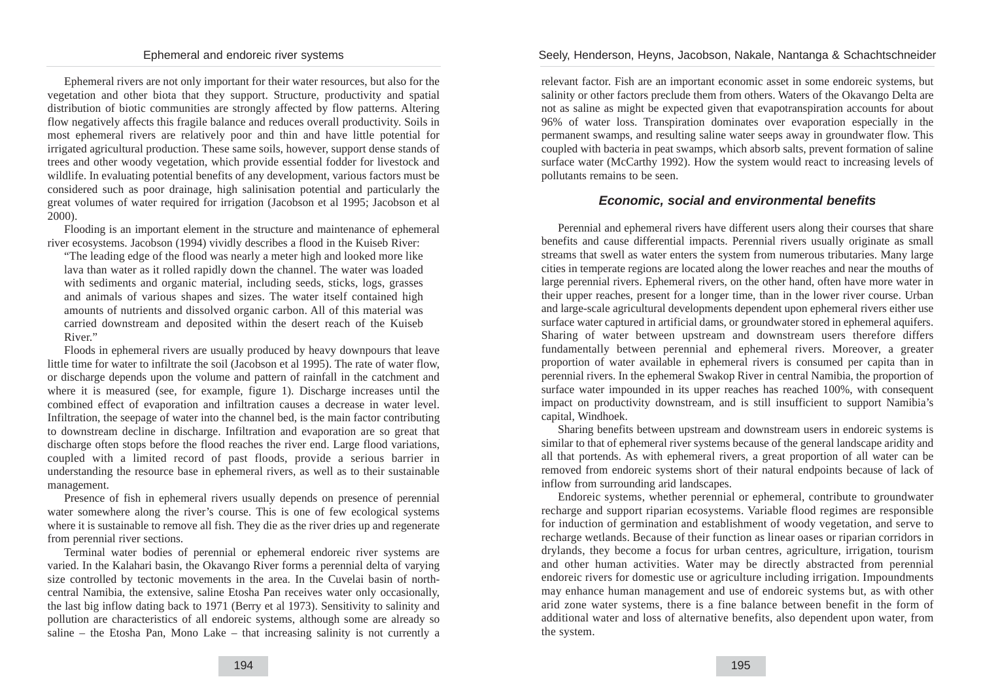Ephemeral rivers are not only important for their water resources, but also for the vegetation and other biota that they support. Structure, productivity and spatial distribution of biotic communities are strongly affected by flow patterns. Altering flow negatively affects this fragile balance and reduces overall productivity. Soils in most ephemeral rivers are relatively poor and thin and have little potential for irrigated agricultural production. These same soils, however, support dense stands of trees and other woody vegetation, which provide essential fodder for livestock and wildlife. In evaluating potential benefits of any development, various factors must be considered such as poor drainage, high salinisation potential and particularly the great volumes of water required for irrigation (Jacobson et al 1995; Jacobson et al 2000).

Flooding is an important element in the structure and maintenance of ephemeral river ecosystems. Jacobson (1994) vividly describes a flood in the Kuiseb River:

"The leading edge of the flood was nearly a meter high and looked more like lava than water as it rolled rapidly down the channel. The water was loaded with sediments and organic material, including seeds, sticks, logs, grasses and animals of various shapes and sizes. The water itself contained high amounts of nutrients and dissolved organic carbon. All of this material was carried downstream and deposited within the desert reach of the Kuiseb River."

Floods in ephemeral rivers are usually produced by heavy downpours that leave little time for water to infiltrate the soil (Jacobson et al 1995). The rate of water flow, or discharge depends upon the volume and pattern of rainfall in the catchment and where it is measured (see, for example, figure 1). Discharge increases until the combined effect of evaporation and infiltration causes a decrease in water level. Infiltration, the seepage of water into the channel bed, is the main factor contributing to downstream decline in discharge. Infiltration and evaporation are so great that discharge often stops before the flood reaches the river end. Large flood variations, coupled with a limited record of past floods, provide a serious barrier in understanding the resource base in ephemeral rivers, as well as to their sustainable management.

Presence of fish in ephemeral rivers usually depends on presence of perennial water somewhere along the river's course. This is one of few ecological systems where it is sustainable to remove all fish. They die as the river dries up and regenerate from perennial river sections.

Terminal water bodies of perennial or ephemeral endoreic river systems are varied. In the Kalahari basin, the Okavango River forms a perennial delta of varying size controlled by tectonic movements in the area. In the Cuvelai basin of northcentral Namibia, the extensive, saline Etosha Pan receives water only occasionally, the last big inflow dating back to 1971 (Berry et al 1973). Sensitivity to salinity and pollution are characteristics of all endoreic systems, although some are already so saline – the Etosha Pan, Mono Lake – that increasing salinity is not currently a

relevant factor. Fish are an important economic asset in some endoreic systems, but salinity or other factors preclude them from others. Waters of the Okavango Delta are not as saline as might be expected given that evapotranspiration accounts for about 96% of water loss. Transpiration dominates over evaporation especially in the permanent swamps, and resulting saline water seeps away in groundwater flow. This coupled with bacteria in peat swamps, which absorb salts, prevent formation of saline surface water (McCarthy 1992). How the system would react to increasing levels of pollutants remains to be seen.

# **Economic, social and environmental benefits**

Perennial and ephemeral rivers have different users along their courses that share benefits and cause differential impacts. Perennial rivers usually originate as small streams that swell as water enters the system from numerous tributaries. Many large cities in temperate regions are located along the lower reaches and near the mouths of large perennial rivers. Ephemeral rivers, on the other hand, often have more water in their upper reaches, present for a longer time, than in the lower river course. Urban and large-scale agricultural developments dependent upon ephemeral rivers either use surface water captured in artificial dams, or groundwater stored in ephemeral aquifers. Sharing of water between upstream and downstream users therefore differs fundamentally between perennial and ephemeral rivers. Moreover, a greater proportion of water available in ephemeral rivers is consumed per capita than in perennial rivers. In the ephemeral Swakop River in central Namibia, the proportion of surface water impounded in its upper reaches has reached 100%, with consequent impact on productivity downstream, and is still insufficient to support Namibia's capital, Windhoek.

Sharing benefits between upstream and downstream users in endoreic systems is similar to that of ephemeral river systems because of the general landscape aridity and all that portends. As with ephemeral rivers, a great proportion of all water can be removed from endoreic systems short of their natural endpoints because of lack of inflow from surrounding arid landscapes.

Endoreic systems, whether perennial or ephemeral, contribute to groundwater recharge and support riparian ecosystems. Variable flood regimes are responsible for induction of germination and establishment of woody vegetation, and serve to recharge wetlands. Because of their function as linear oases or riparian corridors in drylands, they become a focus for urban centres, agriculture, irrigation, tourism and other human activities. Water may be directly abstracted from perennial endoreic rivers for domestic use or agriculture including irrigation. Impoundments may enhance human management and use of endoreic systems but, as with other arid zone water systems, there is a fine balance between benefit in the form of additional water and loss of alternative benefits, also dependent upon water, from the system.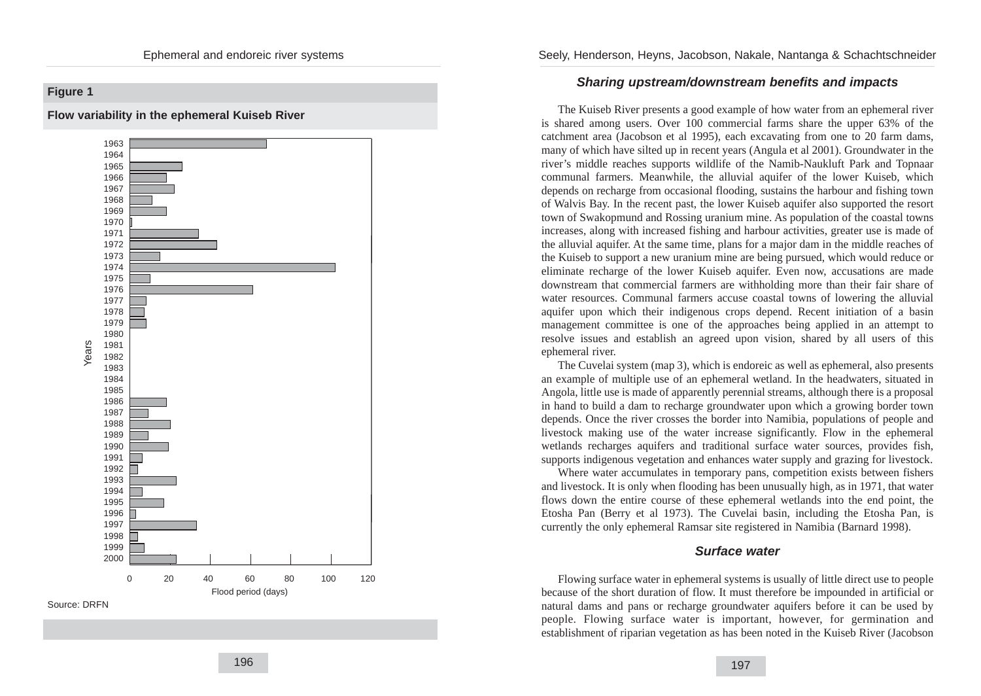# **Figure 1**





# **Sharing upstream/downstream benefits and impacts**

The Kuiseb River presents a good example of how water from an ephemeral river is shared among users. Over 100 commercial farms share the upper 63% of the catchment area (Jacobson et al 1995), each excavating from one to 20 farm dams, many of which have silted up in recent years (Angula et al 2001). Groundwater in the river's middle reaches supports wildlife of the Namib-Naukluft Park and Topnaar communal farmers. Meanwhile, the alluvial aquifer of the lower Kuiseb, which depends on recharge from occasional flooding, sustains the harbour and fishing town of Walvis Bay. In the recent past, the lower Kuiseb aquifer also supported the resort town of Swakopmund and Rossing uranium mine. As population of the coastal towns increases, along with increased fishing and harbour activities, greater use is made of the alluvial aquifer. At the same time, plans for a major dam in the middle reaches of the Kuiseb to support a new uranium mine are being pursued, which would reduce or eliminate recharge of the lower Kuiseb aquifer. Even now, accusations are made downstream that commercial farmers are withholding more than their fair share of water resources. Communal farmers accuse coastal towns of lowering the alluvial aquifer upon which their indigenous crops depend. Recent initiation of a basin management committee is one of the approaches being applied in an attempt to resolve issues and establish an agreed upon vision, shared by all users of this ephemeral river.

The Cuvelai system (map 3), which is endoreic as well as ephemeral, also presents an example of multiple use of an ephemeral wetland. In the headwaters, situated in Angola, little use is made of apparently perennial streams, although there is a proposal in hand to build a dam to recharge groundwater upon which a growing border town depends. Once the river crosses the border into Namibia, populations of people and livestock making use of the water increase significantly. Flow in the ephemeral wetlands recharges aquifers and traditional surface water sources, provides fish, supports indigenous vegetation and enhances water supply and grazing for livestock.

Where water accumulates in temporary pans, competition exists between fishers and livestock. It is only when flooding has been unusually high, as in 1971, that water flows down the entire course of these ephemeral wetlands into the end point, the Etosha Pan (Berry et al 1973). The Cuvelai basin, including the Etosha Pan, is currently the only ephemeral Ramsar site registered in Namibia (Barnard 1998).

# **Surface water**

Flowing surface water in ephemeral systems is usually of little direct use to people because of the short duration of flow. It must therefore be impounded in artificial or natural dams and pans or recharge groundwater aquifers before it can be used by people. Flowing surface water is important, however, for germination and establishment of riparian vegetation as has been noted in the Kuiseb River (Jacobson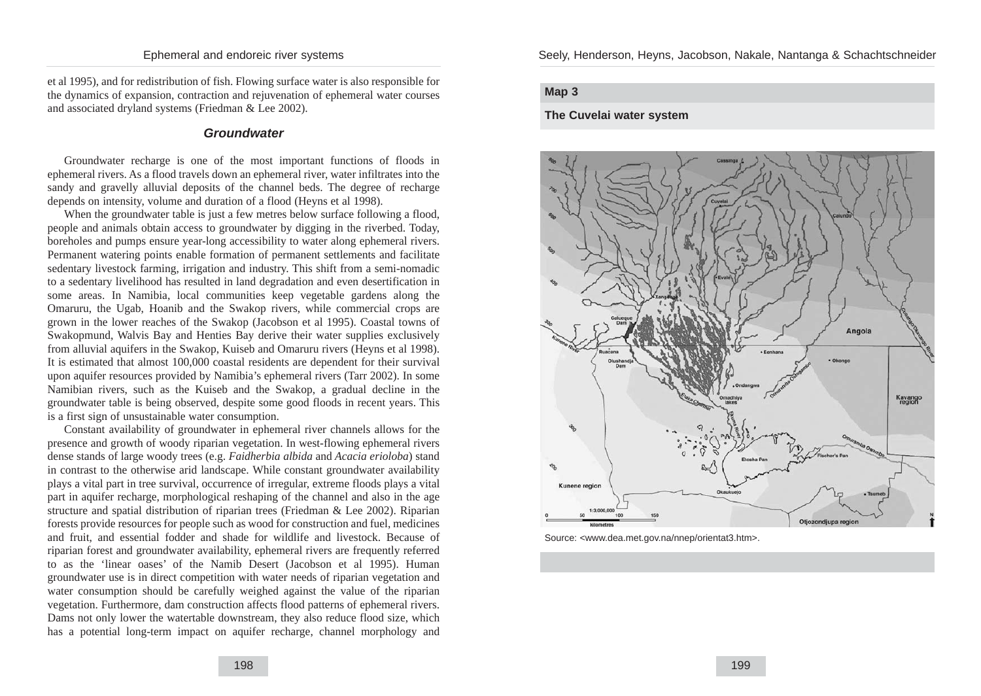et al 1995), and for redistribution of fish. Flowing surface water is also responsible for the dynamics of expansion, contraction and rejuvenation of ephemeral water courses and associated dryland systems (Friedman & Lee 2002).

#### **Groundwater**

Groundwater recharge is one of the most important functions of floods in ephemeral rivers. As a flood travels down an ephemeral river, water infiltrates into the sandy and gravelly alluvial deposits of the channel beds. The degree of recharge depends on intensity, volume and duration of a flood (Heyns et al 1998).

When the groundwater table is just a few metres below surface following a flood, people and animals obtain access to groundwater by digging in the riverbed. Today, boreholes and pumps ensure year-long accessibility to water along ephemeral rivers. Permanent watering points enable formation of permanent settlements and facilitate sedentary livestock farming, irrigation and industry. This shift from a semi-nomadic to a sedentary livelihood has resulted in land degradation and even desertification in some areas. In Namibia, local communities keep vegetable gardens along the Omaruru, the Ugab, Hoanib and the Swakop rivers, while commercial crops are grown in the lower reaches of the Swakop (Jacobson et al 1995). Coastal towns of Swakopmund, Walvis Bay and Henties Bay derive their water supplies exclusively from alluvial aquifers in the Swakop, Kuiseb and Omaruru rivers (Heyns et al 1998). It is estimated that almost 100,000 coastal residents are dependent for their survival upon aquifer resources provided by Namibia's ephemeral rivers (Tarr 2002). In some Namibian rivers, such as the Kuiseb and the Swakop, a gradual decline in the groundwater table is being observed, despite some good floods in recent years. This is a first sign of unsustainable water consumption.

Constant availability of groundwater in ephemeral river channels allows for the presence and growth of woody riparian vegetation. In west-flowing ephemeral rivers dense stands of large woody trees (e.g. *Faidherbia albida* and *Acacia erioloba*) stand in contrast to the otherwise arid landscape. While constant groundwater availability plays a vital part in tree survival, occurrence of irregular, extreme floods plays a vital part in aquifer recharge, morphological reshaping of the channel and also in the age structure and spatial distribution of riparian trees (Friedman & Lee 2002). Riparian forests provide resources for people such as wood for construction and fuel, medicines and fruit, and essential fodder and shade for wildlife and livestock. Because of riparian forest and groundwater availability, ephemeral rivers are frequently referred to as the 'linear oases' of the Namib Desert (Jacobson et al 1995). Human groundwater use is in direct competition with water needs of riparian vegetation and water consumption should be carefully weighed against the value of the riparian vegetation. Furthermore, dam construction affects flood patterns of ephemeral rivers. Dams not only lower the watertable downstream, they also reduce flood size, which has a potential long-term impact on aquifer recharge, channel morphology and Seely, Henderson, Heyns, Jacobson, Nakale, Nantanga & Schachtschneider

### **Map 3**

### **The Cuvelai water system**



Source: <www.dea.met.gov.na/nnep/orientat3.htm>.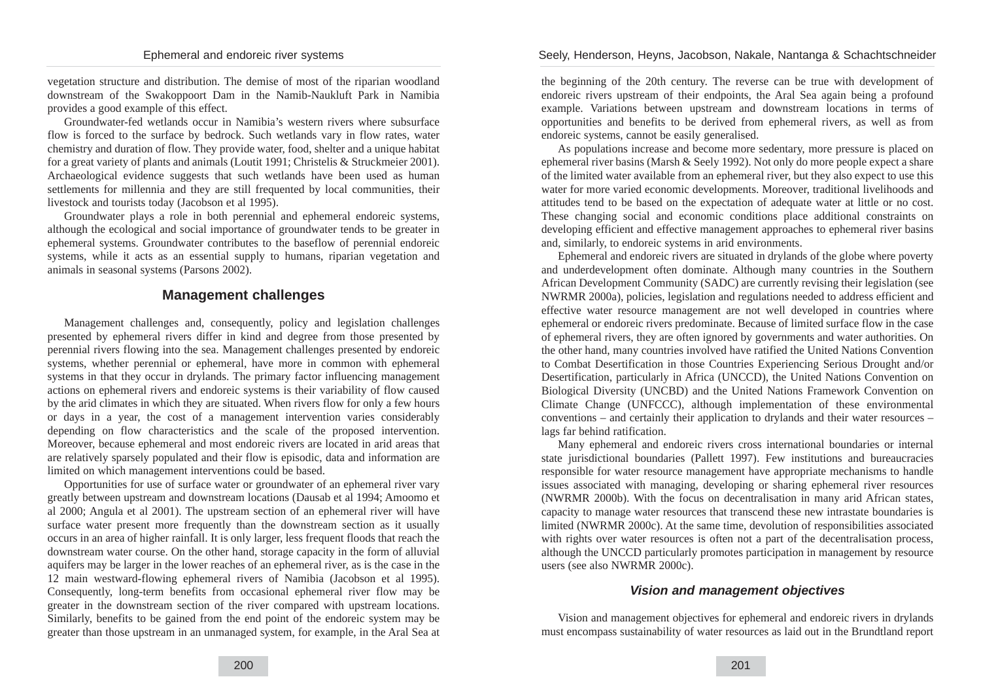#### Seely, Henderson, Heyns, Jacobson, Nakale, Nantanga & Schachtschneider

vegetation structure and distribution. The demise of most of the riparian woodland downstream of the Swakoppoort Dam in the Namib-Naukluft Park in Namibia provides a good example of this effect.

Groundwater-fed wetlands occur in Namibia's western rivers where subsurface flow is forced to the surface by bedrock. Such wetlands vary in flow rates, water chemistry and duration of flow. They provide water, food, shelter and a unique habitat for a great variety of plants and animals (Loutit 1991; Christelis & Struckmeier 2001). Archaeological evidence suggests that such wetlands have been used as human settlements for millennia and they are still frequented by local communities, their livestock and tourists today (Jacobson et al 1995).

Groundwater plays a role in both perennial and ephemeral endoreic systems, although the ecological and social importance of groundwater tends to be greater in ephemeral systems. Groundwater contributes to the baseflow of perennial endoreic systems, while it acts as an essential supply to humans, riparian vegetation and animals in seasonal systems (Parsons 2002).

# **Management challenges**

Management challenges and, consequently, policy and legislation challenges presented by ephemeral rivers differ in kind and degree from those presented by perennial rivers flowing into the sea. Management challenges presented by endoreic systems, whether perennial or ephemeral, have more in common with ephemeral systems in that they occur in drylands. The primary factor influencing management actions on ephemeral rivers and endoreic systems is their variability of flow caused by the arid climates in which they are situated. When rivers flow for only a few hours or days in a year, the cost of a management intervention varies considerably depending on flow characteristics and the scale of the proposed intervention. Moreover, because ephemeral and most endoreic rivers are located in arid areas that are relatively sparsely populated and their flow is episodic, data and information are limited on which management interventions could be based.

Opportunities for use of surface water or groundwater of an ephemeral river vary greatly between upstream and downstream locations (Dausab et al 1994; Amoomo et al 2000; Angula et al 2001). The upstream section of an ephemeral river will have surface water present more frequently than the downstream section as it usually occurs in an area of higher rainfall. It is only larger, less frequent floods that reach the downstream water course. On the other hand, storage capacity in the form of alluvial aquifers may be larger in the lower reaches of an ephemeral river, as is the case in the 12 main westward-flowing ephemeral rivers of Namibia (Jacobson et al 1995). Consequently, long-term benefits from occasional ephemeral river flow may be greater in the downstream section of the river compared with upstream locations. Similarly, benefits to be gained from the end point of the endoreic system may be greater than those upstream in an unmanaged system, for example, in the Aral Sea at

the beginning of the 20th century. The reverse can be true with development of endoreic rivers upstream of their endpoints, the Aral Sea again being a profound example. Variations between upstream and downstream locations in terms of opportunities and benefits to be derived from ephemeral rivers, as well as from endoreic systems, cannot be easily generalised.

As populations increase and become more sedentary, more pressure is placed on ephemeral river basins (Marsh & Seely 1992). Not only do more people expect a share of the limited water available from an ephemeral river, but they also expect to use this water for more varied economic developments. Moreover, traditional livelihoods and attitudes tend to be based on the expectation of adequate water at little or no cost. These changing social and economic conditions place additional constraints on developing efficient and effective management approaches to ephemeral river basins and, similarly, to endoreic systems in arid environments.

Ephemeral and endoreic rivers are situated in drylands of the globe where poverty and underdevelopment often dominate. Although many countries in the Southern African Development Community (SADC) are currently revising their legislation (see NWRMR 2000a), policies, legislation and regulations needed to address efficient and effective water resource management are not well developed in countries where ephemeral or endoreic rivers predominate. Because of limited surface flow in the case of ephemeral rivers, they are often ignored by governments and water authorities. On the other hand, many countries involved have ratified the United Nations Convention to Combat Desertification in those Countries Experiencing Serious Drought and/or Desertification, particularly in Africa (UNCCD), the United Nations Convention on Biological Diversity (UNCBD) and the United Nations Framework Convention on Climate Change (UNFCCC), although implementation of these environmental conventions – and certainly their application to drylands and their water resources – lags far behind ratification.

Many ephemeral and endoreic rivers cross international boundaries or internal state jurisdictional boundaries (Pallett 1997). Few institutions and bureaucracies responsible for water resource management have appropriate mechanisms to handle issues associated with managing, developing or sharing ephemeral river resources (NWRMR 2000b). With the focus on decentralisation in many arid African states, capacity to manage water resources that transcend these new intrastate boundaries is limited (NWRMR 2000c). At the same time, devolution of responsibilities associated with rights over water resources is often not a part of the decentralisation process, although the UNCCD particularly promotes participation in management by resource users (see also NWRMR 2000c).

# **Vision and management objectives**

Vision and management objectives for ephemeral and endoreic rivers in drylands must encompass sustainability of water resources as laid out in the Brundtland report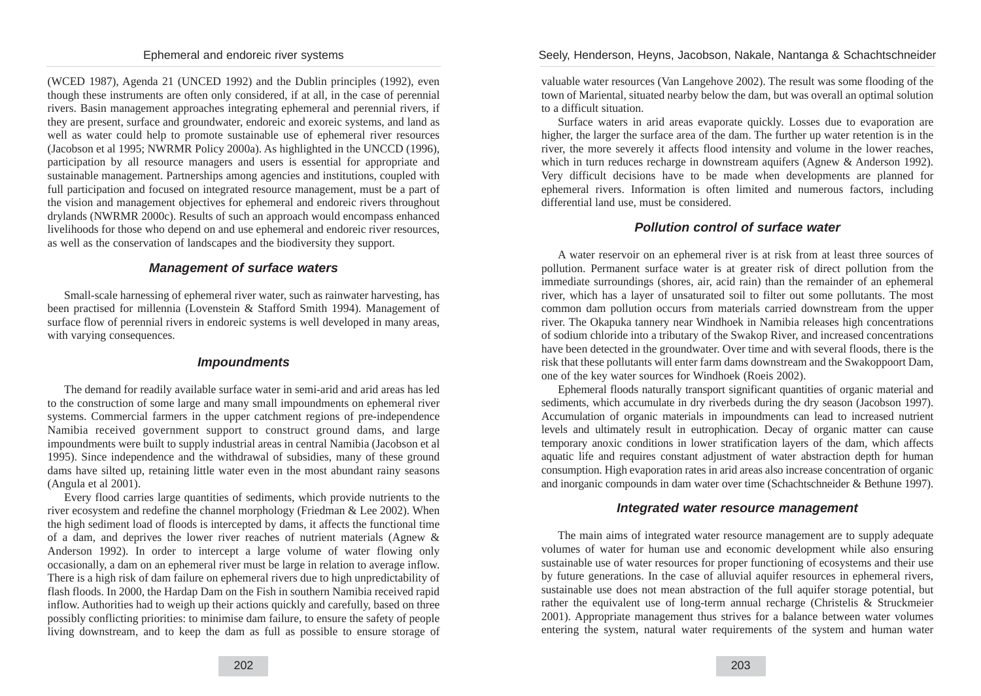(WCED 1987), Agenda 21 (UNCED 1992) and the Dublin principles (1992), even though these instruments are often only considered, if at all, in the case of perennial rivers. Basin management approaches integrating ephemeral and perennial rivers, if they are present, surface and groundwater, endoreic and exoreic systems, and land as well as water could help to promote sustainable use of ephemeral river resources (Jacobson et al 1995; NWRMR Policy 2000a). As highlighted in the UNCCD (1996), participation by all resource managers and users is essential for appropriate and sustainable management. Partnerships among agencies and institutions, coupled with full participation and focused on integrated resource management, must be a part of the vision and management objectives for ephemeral and endoreic rivers throughout drylands (NWRMR 2000c). Results of such an approach would encompass enhanced livelihoods for those who depend on and use ephemeral and endoreic river resources, as well as the conservation of landscapes and the biodiversity they support.

## **Management of surface waters**

Small-scale harnessing of ephemeral river water, such as rainwater harvesting, has been practised for millennia (Lovenstein & Stafford Smith 1994). Management of surface flow of perennial rivers in endoreic systems is well developed in many areas, with varying consequences.

### **Impoundments**

The demand for readily available surface water in semi-arid and arid areas has led to the construction of some large and many small impoundments on ephemeral river systems. Commercial farmers in the upper catchment regions of pre-independence Namibia received government support to construct ground dams, and large impoundments were built to supply industrial areas in central Namibia (Jacobson et al 1995). Since independence and the withdrawal of subsidies, many of these ground dams have silted up, retaining little water even in the most abundant rainy seasons (Angula et al 2001).

Every flood carries large quantities of sediments, which provide nutrients to the river ecosystem and redefine the channel morphology (Friedman & Lee 2002). When the high sediment load of floods is intercepted by dams, it affects the functional time of a dam, and deprives the lower river reaches of nutrient materials (Agnew & Anderson 1992). In order to intercept a large volume of water flowing only occasionally, a dam on an ephemeral river must be large in relation to average inflow. There is a high risk of dam failure on ephemeral rivers due to high unpredictability of flash floods. In 2000, the Hardap Dam on the Fish in southern Namibia received rapid inflow. Authorities had to weigh up their actions quickly and carefully, based on three possibly conflicting priorities: to minimise dam failure, to ensure the safety of people living downstream, and to keep the dam as full as possible to ensure storage of

valuable water resources (Van Langehove 2002). The result was some flooding of the town of Mariental, situated nearby below the dam, but was overall an optimal solution to a difficult situation.

Surface waters in arid areas evaporate quickly. Losses due to evaporation are higher, the larger the surface area of the dam. The further up water retention is in the river, the more severely it affects flood intensity and volume in the lower reaches, which in turn reduces recharge in downstream aquifers (Agnew & Anderson 1992). Very difficult decisions have to be made when developments are planned for ephemeral rivers. Information is often limited and numerous factors, including differential land use, must be considered.

# **Pollution control of surface water**

A water reservoir on an ephemeral river is at risk from at least three sources of pollution. Permanent surface water is at greater risk of direct pollution from the immediate surroundings (shores, air, acid rain) than the remainder of an ephemeral river, which has a layer of unsaturated soil to filter out some pollutants. The most common dam pollution occurs from materials carried downstream from the upper river. The Okapuka tannery near Windhoek in Namibia releases high concentrations of sodium chloride into a tributary of the Swakop River, and increased concentrations have been detected in the groundwater. Over time and with several floods, there is the risk that these pollutants will enter farm dams downstream and the Swakoppoort Dam, one of the key water sources for Windhoek (Roeis 2002).

Ephemeral floods naturally transport significant quantities of organic material and sediments, which accumulate in dry riverbeds during the dry season (Jacobson 1997). Accumulation of organic materials in impoundments can lead to increased nutrient levels and ultimately result in eutrophication. Decay of organic matter can cause temporary anoxic conditions in lower stratification layers of the dam, which affects aquatic life and requires constant adjustment of water abstraction depth for human consumption. High evaporation rates in arid areas also increase concentration of organic and inorganic compounds in dam water over time (Schachtschneider & Bethune 1997).

### **Integrated water resource management**

The main aims of integrated water resource management are to supply adequate volumes of water for human use and economic development while also ensuring sustainable use of water resources for proper functioning of ecosystems and their use by future generations. In the case of alluvial aquifer resources in ephemeral rivers, sustainable use does not mean abstraction of the full aquifer storage potential, but rather the equivalent use of long-term annual recharge (Christelis & Struckmeier 2001). Appropriate management thus strives for a balance between water volumes entering the system, natural water requirements of the system and human water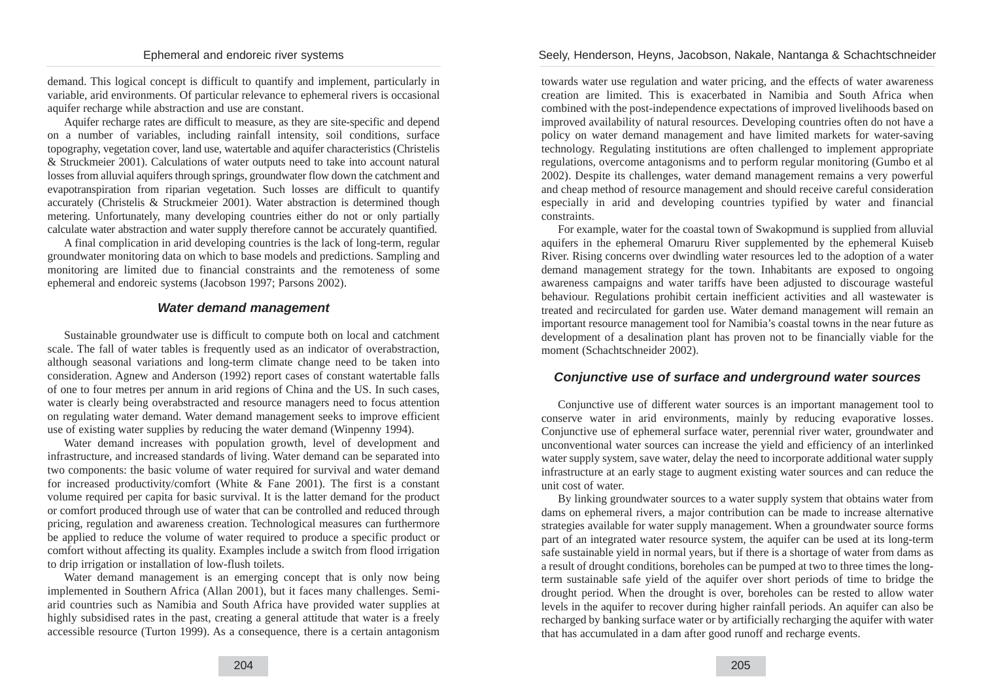#### Seely, Henderson, Heyns, Jacobson, Nakale, Nantanga & Schachtschneider

demand. This logical concept is difficult to quantify and implement, particularly in variable, arid environments. Of particular relevance to ephemeral rivers is occasional aquifer recharge while abstraction and use are constant.

Aquifer recharge rates are difficult to measure, as they are site-specific and depend on a number of variables, including rainfall intensity, soil conditions, surface topography, vegetation cover, land use, watertable and aquifer characteristics (Christelis & Struckmeier 2001). Calculations of water outputs need to take into account natural losses from alluvial aquifers through springs, groundwater flow down the catchment and evapotranspiration from riparian vegetation. Such losses are difficult to quantify accurately (Christelis & Struckmeier 2001). Water abstraction is determined though metering. Unfortunately, many developing countries either do not or only partially calculate water abstraction and water supply therefore cannot be accurately quantified.

A final complication in arid developing countries is the lack of long-term, regular groundwater monitoring data on which to base models and predictions. Sampling and monitoring are limited due to financial constraints and the remoteness of some ephemeral and endoreic systems (Jacobson 1997; Parsons 2002).

### **Water demand management**

Sustainable groundwater use is difficult to compute both on local and catchment scale. The fall of water tables is frequently used as an indicator of overabstraction, although seasonal variations and long-term climate change need to be taken into consideration. Agnew and Anderson (1992) report cases of constant watertable falls of one to four metres per annum in arid regions of China and the US. In such cases, water is clearly being overabstracted and resource managers need to focus attention on regulating water demand. Water demand management seeks to improve efficient use of existing water supplies by reducing the water demand (Winpenny 1994).

Water demand increases with population growth, level of development and infrastructure, and increased standards of living. Water demand can be separated into two components: the basic volume of water required for survival and water demand for increased productivity/comfort (White & Fane 2001). The first is a constant volume required per capita for basic survival. It is the latter demand for the product or comfort produced through use of water that can be controlled and reduced through pricing, regulation and awareness creation. Technological measures can furthermore be applied to reduce the volume of water required to produce a specific product or comfort without affecting its quality. Examples include a switch from flood irrigation to drip irrigation or installation of low-flush toilets.

Water demand management is an emerging concept that is only now being implemented in Southern Africa (Allan 2001), but it faces many challenges. Semiarid countries such as Namibia and South Africa have provided water supplies at highly subsidised rates in the past, creating a general attitude that water is a freely accessible resource (Turton 1999). As a consequence, there is a certain antagonism

towards water use regulation and water pricing, and the effects of water awareness creation are limited. This is exacerbated in Namibia and South Africa when combined with the post-independence expectations of improved livelihoods based on improved availability of natural resources. Developing countries often do not have a policy on water demand management and have limited markets for water-saving technology. Regulating institutions are often challenged to implement appropriate regulations, overcome antagonisms and to perform regular monitoring (Gumbo et al 2002). Despite its challenges, water demand management remains a very powerful and cheap method of resource management and should receive careful consideration especially in arid and developing countries typified by water and financial constraints.

For example, water for the coastal town of Swakopmund is supplied from alluvial aquifers in the ephemeral Omaruru River supplemented by the ephemeral Kuiseb River. Rising concerns over dwindling water resources led to the adoption of a water demand management strategy for the town. Inhabitants are exposed to ongoing awareness campaigns and water tariffs have been adjusted to discourage wasteful behaviour. Regulations prohibit certain inefficient activities and all wastewater is treated and recirculated for garden use. Water demand management will remain an important resource management tool for Namibia's coastal towns in the near future as development of a desalination plant has proven not to be financially viable for the moment (Schachtschneider 2002).

### **Conjunctive use of surface and underground water sources**

Conjunctive use of different water sources is an important management tool to conserve water in arid environments, mainly by reducing evaporative losses. Conjunctive use of ephemeral surface water, perennial river water, groundwater and unconventional water sources can increase the yield and efficiency of an interlinked water supply system, save water, delay the need to incorporate additional water supply infrastructure at an early stage to augment existing water sources and can reduce the unit cost of water.

By linking groundwater sources to a water supply system that obtains water from dams on ephemeral rivers, a major contribution can be made to increase alternative strategies available for water supply management. When a groundwater source forms part of an integrated water resource system, the aquifer can be used at its long-term safe sustainable yield in normal years, but if there is a shortage of water from dams as a result of drought conditions, boreholes can be pumped at two to three times the longterm sustainable safe yield of the aquifer over short periods of time to bridge the drought period. When the drought is over, boreholes can be rested to allow water levels in the aquifer to recover during higher rainfall periods. An aquifer can also be recharged by banking surface water or by artificially recharging the aquifer with water that has accumulated in a dam after good runoff and recharge events.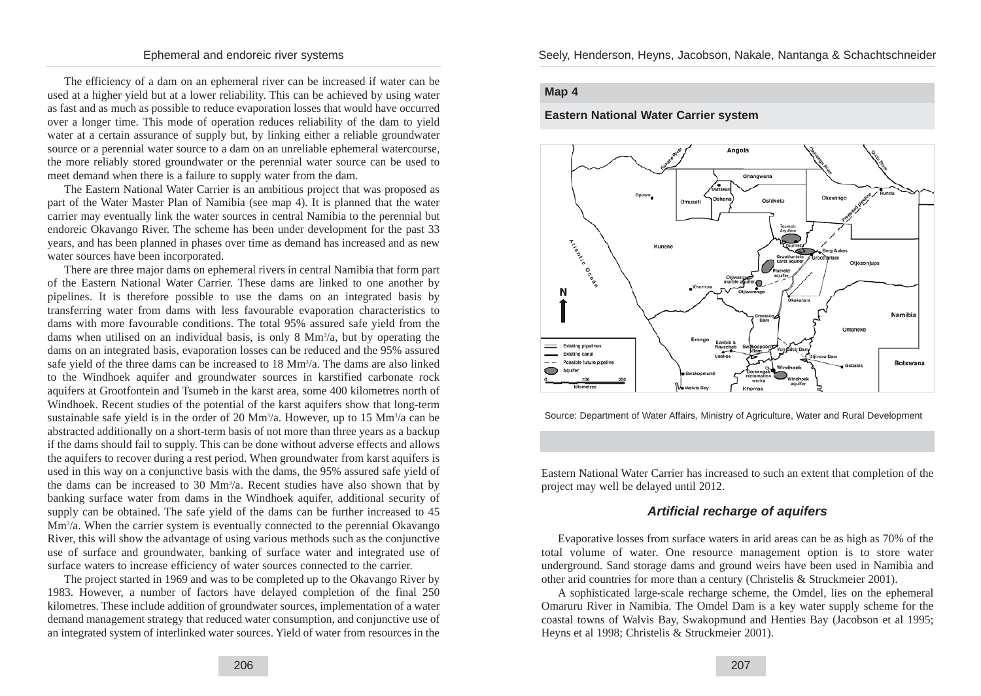The efficiency of a dam on an ephemeral river can be increased if water can be used at a higher yield but at a lower reliability. This can be achieved by using water as fast and as much as possible to reduce evaporation losses that would have occurred over a longer time. This mode of operation reduces reliability of the dam to yield water at a certain assurance of supply but, by linking either a reliable groundwater source or a perennial water source to a dam on an unreliable ephemeral watercourse, the more reliably stored groundwater or the perennial water source can be used to meet demand when there is a failure to supply water from the dam.

The Eastern National Water Carrier is an ambitious project that was proposed as part of the Water Master Plan of Namibia (see map 4). It is planned that the water carrier may eventually link the water sources in central Namibia to the perennial but endoreic Okavango River. The scheme has been under development for the past 33 years, and has been planned in phases over time as demand has increased and as new water sources have been incorporated.

There are three major dams on ephemeral rivers in central Namibia that form part of the Eastern National Water Carrier. These dams are linked to one another by pipelines. It is therefore possible to use the dams on an integrated basis by transferring water from dams with less favourable evaporation characteristics to dams with more favourable conditions. The total 95% assured safe yield from the dams when utilised on an individual basis, is only 8 Mm<sup>3</sup>/a, but by operating the dams on an integrated basis, evaporation losses can be reduced and the 95% assured safe yield of the three dams can be increased to 18 Mm<sup>3</sup>/a. The dams are also linked to the Windhoek aquifer and groundwater sources in karstified carbonate rock aquifers at Grootfontein and Tsumeb in the karst area, some 400 kilometres north of Windhoek. Recent studies of the potential of the karst aquifers show that long-term sustainable safe yield is in the order of 20  $\text{Mm}^3$ /a. However, up to 15  $\text{Mm}^3$ /a can be abstracted additionally on a short-term basis of not more than three years as a backup if the dams should fail to supply. This can be done without adverse effects and allows the aquifers to recover during a rest period. When groundwater from karst aquifers is used in this way on a conjunctive basis with the dams, the 95% assured safe yield of the dams can be increased to 30 Mm<sup>3</sup>/a. Recent studies have also shown that by banking surface water from dams in the Windhoek aquifer, additional security of supply can be obtained. The safe yield of the dams can be further increased to 45 Mm3 /a. When the carrier system is eventually connected to the perennial Okavango River, this will show the advantage of using various methods such as the conjunctive use of surface and groundwater, banking of surface water and integrated use of surface waters to increase efficiency of water sources connected to the carrier.

The project started in 1969 and was to be completed up to the Okavango River by 1983. However, a number of factors have delayed completion of the final 250 kilometres. These include addition of groundwater sources, implementation of a water demand management strategy that reduced water consumption, and conjunctive use of an integrated system of interlinked water sources. Yield of water from resources in the Seely, Henderson, Heyns, Jacobson, Nakale, Nantanga & Schachtschneider

### **Map 4**

**Eastern National Water Carrier system**



Source: Department of Water Affairs, Ministry of Agriculture, Water and Rural Development

Eastern National Water Carrier has increased to such an extent that completion of the project may well be delayed until 2012.

### **Artificial recharge of aquifers**

Evaporative losses from surface waters in arid areas can be as high as 70% of the total volume of water. One resource management option is to store water underground. Sand storage dams and ground weirs have been used in Namibia and other arid countries for more than a century (Christelis & Struckmeier 2001).

A sophisticated large-scale recharge scheme, the Omdel, lies on the ephemeral Omaruru River in Namibia. The Omdel Dam is a key water supply scheme for the coastal towns of Walvis Bay, Swakopmund and Henties Bay (Jacobson et al 1995; Heyns et al 1998; Christelis & Struckmeier 2001).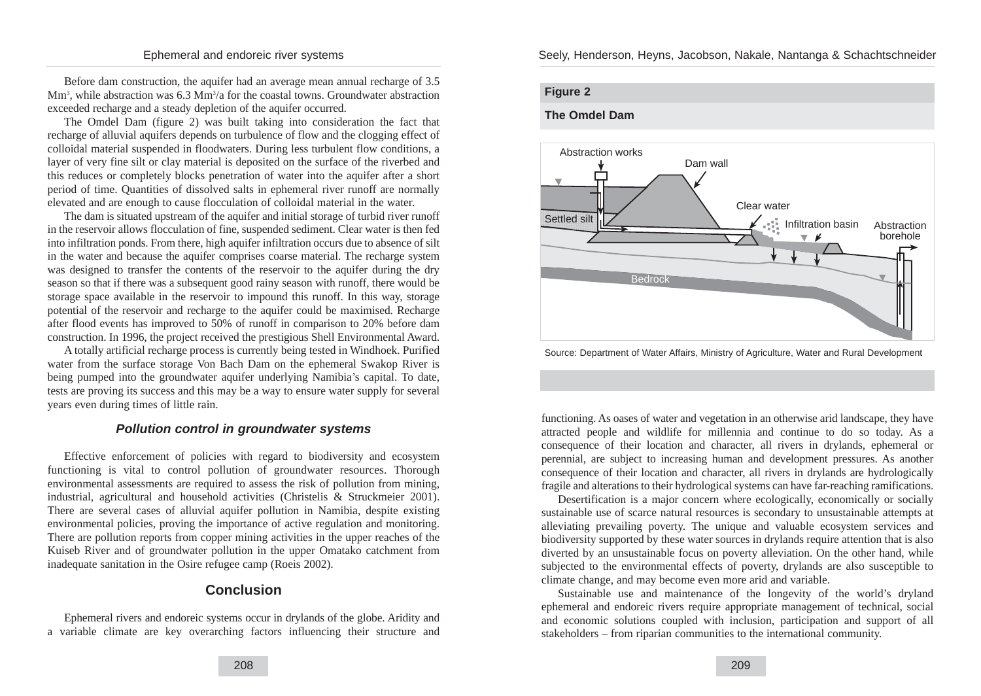Before dam construction, the aquifer had an average mean annual recharge of 3.5 Mm<sup>3</sup>, while abstraction was 6.3 Mm<sup>3</sup>/a for the coastal towns. Groundwater abstraction exceeded recharge and a steady depletion of the aquifer occurred.

The Omdel Dam (figure 2) was built taking into consideration the fact that recharge of alluvial aquifers depends on turbulence of flow and the clogging effect of colloidal material suspended in floodwaters. During less turbulent flow conditions, a layer of very fine silt or clay material is deposited on the surface of the riverbed and this reduces or completely blocks penetration of water into the aquifer after a short period of time. Quantities of dissolved salts in ephemeral river runoff are normally elevated and are enough to cause flocculation of colloidal material in the water.

The dam is situated upstream of the aquifer and initial storage of turbid river runoff in the reservoir allows flocculation of fine, suspended sediment. Clear water is then fed into infiltration ponds. From there, high aquifer infiltration occurs due to absence of silt in the water and because the aquifer comprises coarse material. The recharge system was designed to transfer the contents of the reservoir to the aquifer during the dry season so that if there was a subsequent good rainy season with runoff, there would be storage space available in the reservoir to impound this runoff. In this way, storage potential of the reservoir and recharge to the aquifer could be maximised. Recharge after flood events has improved to 50% of runoff in comparison to 20% before dam construction. In 1996, the project received the prestigious Shell Environmental Award.

A totally artificial recharge process is currently being tested in Windhoek. Purified water from the surface storage Von Bach Dam on the ephemeral Swakop River is being pumped into the groundwater aquifer underlying Namibia's capital. To date, tests are proving its success and this may be a way to ensure water supply for several years even during times of little rain.

# **Pollution control in groundwater systems**

Effective enforcement of policies with regard to biodiversity and ecosystem functioning is vital to control pollution of groundwater resources. Thorough environmental assessments are required to assess the risk of pollution from mining, industrial, agricultural and household activities (Christelis & Struckmeier 2001). There are several cases of alluvial aquifer pollution in Namibia, despite existing environmental policies, proving the importance of active regulation and monitoring. There are pollution reports from copper mining activities in the upper reaches of the Kuiseb River and of groundwater pollution in the upper Omatako catchment from inadequate sanitation in the Osire refugee camp (Roeis 2002).

# **Conclusion**

Ephemeral rivers and endoreic systems occur in drylands of the globe. Aridity and a variable climate are key overarching factors influencing their structure and Seely, Henderson, Heyns, Jacobson, Nakale, Nantanga & Schachtschneider

# **Figure 2**

**The Omdel Dam**



Source: Department of Water Affairs, Ministry of Agriculture, Water and Rural Development

functioning. As oases of water and vegetation in an otherwise arid landscape, they have attracted people and wildlife for millennia and continue to do so today. As a consequence of their location and character, all rivers in drylands, ephemeral or perennial, are subject to increasing human and development pressures. As another consequence of their location and character, all rivers in drylands are hydrologically fragile and alterations to their hydrological systems can have far-reaching ramifications.

Desertification is a major concern where ecologically, economically or socially sustainable use of scarce natural resources is secondary to unsustainable attempts at alleviating prevailing poverty. The unique and valuable ecosystem services and biodiversity supported by these water sources in drylands require attention that is also diverted by an unsustainable focus on poverty alleviation. On the other hand, while subjected to the environmental effects of poverty, drylands are also susceptible to climate change, and may become even more arid and variable.

Sustainable use and maintenance of the longevity of the world's dryland ephemeral and endoreic rivers require appropriate management of technical, social and economic solutions coupled with inclusion, participation and support of all stakeholders – from riparian communities to the international community.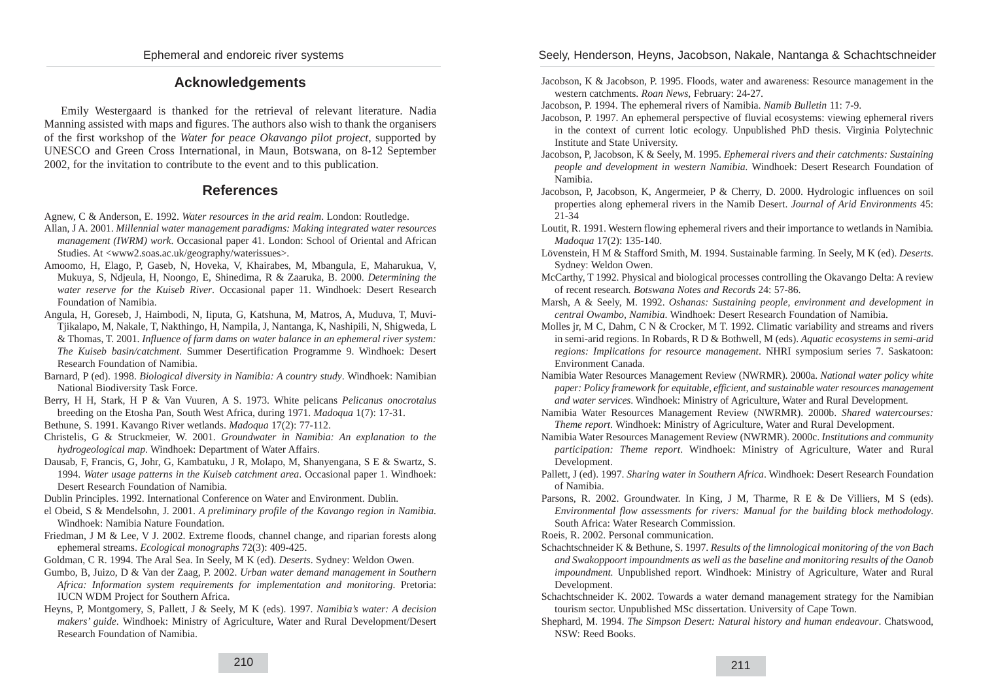# **Acknowledgements**

Emily Westergaard is thanked for the retrieval of relevant literature. Nadia Manning assisted with maps and figures. The authors also wish to thank the organisers of the first workshop of the *Water for peace Okavango pilot project*, supported by UNESCO and Green Cross International, in Maun, Botswana, on 8-12 September 2002, for the invitation to contribute to the event and to this publication.

# **References**

- Agnew, C & Anderson, E. 1992. *Water resources in the arid realm*. London: Routledge.
- Allan, J A. 2001. *Millennial water management paradigms: Making integrated water resources management (IWRM) work*. Occasional paper 41. London: School of Oriental and African Studies. At <www2.soas.ac.uk/geography/waterissues>.
- Amoomo, H, Elago, P, Gaseb, N, Hoveka, V, Khairabes, M, Mbangula, E, Maharukua, V, Mukuya, S, Ndjeula, H, Noongo, E, Shinedima, R & Zaaruka, B. 2000. *Determining the water reserve for the Kuiseb River*. Occasional paper 11. Windhoek: Desert Research Foundation of Namibia.
- Angula, H, Goreseb, J, Haimbodi, N, Iiputa, G, Katshuna, M, Matros, A, Muduva, T, Muvi-Tjikalapo, M, Nakale, T, Nakthingo, H, Nampila, J, Nantanga, K, Nashipili, N, Shigweda, L & Thomas, T. 2001. *Influence of farm dams on water balance in an ephemeral river system: The Kuiseb basin/catchment*. Summer Desertification Programme 9. Windhoek: Desert Research Foundation of Namibia.
- Barnard, P (ed). 1998. *Biological diversity in Namibia: A country study*. Windhoek: Namibian National Biodiversity Task Force.
- Berry, H H, Stark, H P & Van Vuuren, A S. 1973. White pelicans *Pelicanus onocrotalus* breeding on the Etosha Pan, South West Africa, during 1971. *Madoqua* 1(7): 17-31.
- Bethune, S. 1991. Kavango River wetlands. *Madoqua* 17(2): 77-112.
- Christelis, G & Struckmeier, W. 2001. *Groundwater in Namibia: An explanation to the hydrogeological map*. Windhoek: Department of Water Affairs.
- Dausab, F, Francis, G, Johr, G, Kambatuku, J R, Molapo, M, Shanyengana, S E & Swartz, S. 1994. *Water usage patterns in the Kuiseb catchment area*. Occasional paper 1. Windhoek: Desert Research Foundation of Namibia.
- Dublin Principles. 1992. International Conference on Water and Environment. Dublin.
- el Obeid, S & Mendelsohn, J. 2001. *A preliminary profile of the Kavango region in Namibia.* Windhoek: Namibia Nature Foundation.
- Friedman, J M & Lee, V J. 2002. Extreme floods, channel change, and riparian forests along ephemeral streams. *Ecological monographs* 72(3): 409-425.
- Goldman, C R. 1994. The Aral Sea. In Seely, M K (ed). *Deserts*. Sydney: Weldon Owen.
- Gumbo, B, Juizo, D & Van der Zaag, P. 2002. *Urban water demand management in Southern Africa: Information system requirements for implementation and monitoring*. Pretoria: IUCN WDM Project for Southern Africa.
- Heyns, P, Montgomery, S, Pallett, J & Seely, M K (eds). 1997. *Namibia's water: A decision makers' guide*. Windhoek: Ministry of Agriculture, Water and Rural Development/Desert Research Foundation of Namibia.

### Seely, Henderson, Heyns, Jacobson, Nakale, Nantanga & Schachtschneider

- Jacobson, K & Jacobson, P. 1995. Floods, water and awareness: Resource management in the western catchments. *Roan News*, February: 24-27.
- Jacobson, P. 1994. The ephemeral rivers of Namibia. *Namib Bulletin* 11: 7-9.
- Jacobson, P. 1997. An ephemeral perspective of fluvial ecosystems: viewing ephemeral rivers in the context of current lotic ecology. Unpublished PhD thesis. Virginia Polytechnic Institute and State University.
- Jacobson, P, Jacobson, K & Seely, M. 1995. *Ephemeral rivers and their catchments: Sustaining people and development in western Namibia.* Windhoek: Desert Research Foundation of Namibia.
- Jacobson, P, Jacobson, K, Angermeier, P & Cherry, D. 2000. Hydrologic influences on soil properties along ephemeral rivers in the Namib Desert. *Journal of Arid Environments* 45: 21-34
- Loutit, R. 1991. Western flowing ephemeral rivers and their importance to wetlands in Namibia*. Madoqua* 17(2): 135-140.
- Lövenstein, H M & Stafford Smith, M. 1994. Sustainable farming. In Seely, M K (ed). *Deserts*. Sydney: Weldon Owen.
- McCarthy, T 1992. Physical and biological processes controlling the Okavango Delta: A review of recent research*. Botswana Notes and Records* 24: 57-86.
- Marsh, A & Seely, M. 1992. *Oshanas: Sustaining people, environment and development in central Owambo, Namibia*. Windhoek: Desert Research Foundation of Namibia.
- Molles jr, M C, Dahm, C N & Crocker, M T. 1992. Climatic variability and streams and rivers in semi-arid regions. In Robards, R D & Bothwell, M (eds). *Aquatic ecosystems in semi-arid regions: Implications for resource management*. NHRI symposium series 7. Saskatoon: Environment Canada.
- Namibia Water Resources Management Review (NWRMR). 2000a. *National water policy white paper: Policy framework for equitable, efficient, and sustainable water resources management and water services*. Windhoek: Ministry of Agriculture, Water and Rural Development.
- Namibia Water Resources Management Review (NWRMR). 2000b. *Shared watercourses: Theme report.* Windhoek: Ministry of Agriculture, Water and Rural Development.
- Namibia Water Resources Management Review (NWRMR). 2000c. *Institutions and community participation: Theme report*. Windhoek: Ministry of Agriculture, Water and Rural Development.
- Pallett, J (ed). 1997. *Sharing water in Southern Africa*. Windhoek: Desert Research Foundation of Namibia.
- Parsons, R. 2002. Groundwater. In King, J M, Tharme, R E & De Villiers, M S (eds). *Environmental flow assessments for rivers: Manual for the building block methodology*. South Africa: Water Research Commission.
- Roeis, R. 2002. Personal communication.
- Schachtschneider K & Bethune, S. 1997. *Results of the limnological monitoring of the von Bach and Swakoppoort impoundments as well as the baseline and monitoring results of the Oanob impoundment.* Unpublished report. Windhoek: Ministry of Agriculture, Water and Rural Development.
- Schachtschneider K. 2002. Towards a water demand management strategy for the Namibian tourism sector. Unpublished MSc dissertation. University of Cape Town.
- Shephard, M. 1994. *The Simpson Desert: Natural history and human endeavour*. Chatswood, NSW: Reed Books.